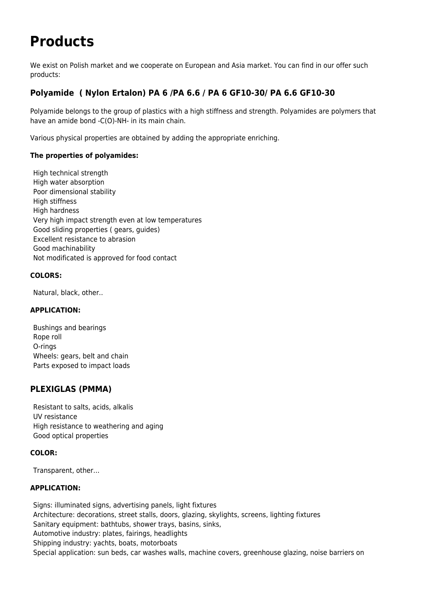# **Products**

We exist on Polish market and we cooperate on European and Asia market. You can find in our offer such products:

## **Polyamide ( Nylon Ertalon) PA 6 /PA 6.6 / PA 6 GF10-30/ PA 6.6 GF10-30**

Polyamide belongs to the group of plastics with a high stiffness and strength. Polyamides are polymers that have an amide bond -C(O)-NH- in its main chain.

Various physical properties are obtained by adding the appropriate enriching.

### **The properties of polyamides:**

High technical strength High water absorption Poor dimensional stability High stiffness High hardness Very high impact strength even at low temperatures Good sliding properties ( gears, guides) Excellent resistance to abrasion Good machinability Not modificated is approved for food contact

### **COLORS:**

Natural, black, other..

### **APPLICATION:**

Bushings and bearings Rope roll O-rings Wheels: gears, belt and chain Parts exposed to impact loads

## **PLEXIGLAS (PMMA)**

Resistant to salts, acids, alkalis UV resistance High resistance to weathering and aging Good optical properties

### **COLOR:**

Transparent, other…

### **APPLICATION:**

Signs: illuminated signs, advertising panels, light fixtures Architecture: decorations, street stalls, doors, glazing, skylights, screens, lighting fixtures Sanitary equipment: bathtubs, shower trays, basins, sinks, Automotive industry: plates, fairings, headlights Shipping industry: yachts, boats, motorboats Special application: sun beds, car washes walls, machine covers, greenhouse glazing, noise barriers on